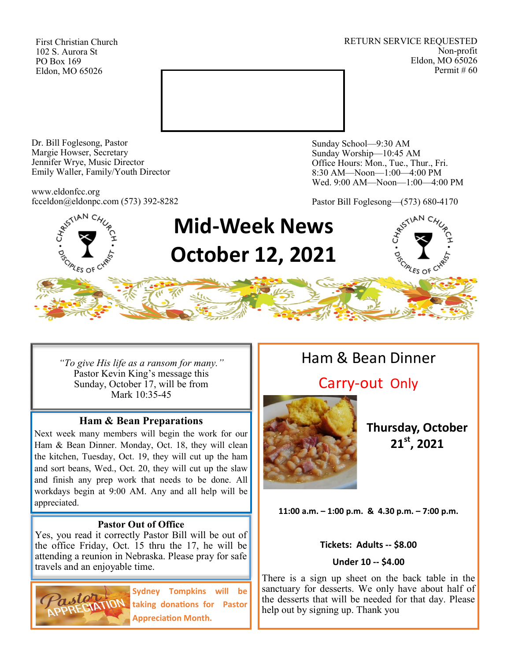First Christian Church 102 S. Aurora St PO Box 169 Eldon, MO 65026

RETURN SERVICE REQUESTED Non-profit Eldon, MO 65026 Permit # 60



Dr. Bill Foglesong, Pastor Margie Howser, Secretary Jennifer Wrye, Music Director Emily Waller, Family/Youth Director

www.eldonfcc.org fcceldon@eldonpc.com (573) 392-8282 Sunday School—9:30 AM Sunday Worship—10:45 AM Office Hours: Mon., Tue., Thur., Fri. 8:30 AM—Noon—1:00—4:00 PM Wed. 9:00 AM—Noon—1:00—4:00 PM

Pastor Bill Foglesong—(573) 680-4170



# **Mid-Week News October 12, 2021**

*"To give His life as a ransom for many."* Pastor Kevin King's message this Sunday, October 17, will be from Mark 10:35-45

#### **Ham & Bean Preparations**

Next week many members will begin the work for our Ham & Bean Dinner. Monday, Oct. 18, they will clean the kitchen, Tuesday, Oct. 19, they will cut up the ham and sort beans, Wed., Oct. 20, they will cut up the slaw and finish any prep work that needs to be done. All workdays begin at 9:00 AM. Any and all help will be appreciated.

#### **Pastor Out of Office**

Yes, you read it correctly Pastor Bill will be out of the office Friday, Oct. 15 thru the 17, he will be attending a reunion in Nebraska. Please pray for safe travels and an enjoyable time.



**Sydney Tompkins will be taking donations for Pastor Appreciation Month.**

# Ham & Bean Dinner

# Carry-out Only



**Thursday, October 21st, 2021**

**11:00 a.m. – 1:00 p.m. & 4.30 p.m. – 7:00 p.m.**

#### **Tickets: Adults -- \$8.00**

#### **Under 10 -- \$4.00**

There is a sign up sheet on the back table in the sanctuary for desserts. We only have about half of the desserts that will be needed for that day. Please help out by signing up. Thank you